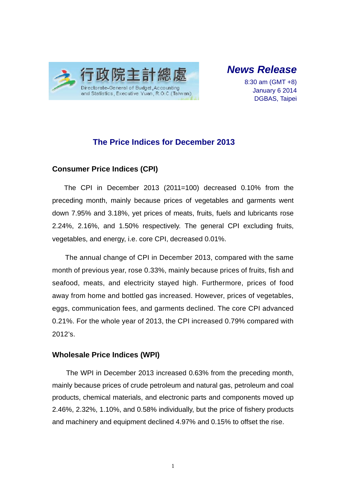

*News Release* 

8:30 am (GMT +8) January 6 2014 DGBAS, Taipei

# **The Price Indices for December 2013**

### **Consumer Price Indices (CPI)**

The CPI in December 2013 (2011=100) decreased 0.10% from the preceding month, mainly because prices of vegetables and garments went down 7.95% and 3.18%, yet prices of meats, fruits, fuels and lubricants rose 2.24%, 2.16%, and 1.50% respectively. The general CPI excluding fruits, vegetables, and energy, i.e. core CPI, decreased 0.01%.

The annual change of CPI in December 2013, compared with the same month of previous year, rose 0.33%, mainly because prices of fruits, fish and seafood, meats, and electricity stayed high. Furthermore, prices of food away from home and bottled gas increased. However, prices of vegetables, eggs, communication fees, and garments declined. The core CPI advanced 0.21%. For the whole year of 2013, the CPI increased 0.79% compared with 2012's.

### **Wholesale Price Indices (WPI)**

The WPI in December 2013 increased 0.63% from the preceding month, mainly because prices of crude petroleum and natural gas, petroleum and coal products, chemical materials, and electronic parts and components moved up 2.46%, 2.32%, 1.10%, and 0.58% individually, but the price of fishery products and machinery and equipment declined 4.97% and 0.15% to offset the rise.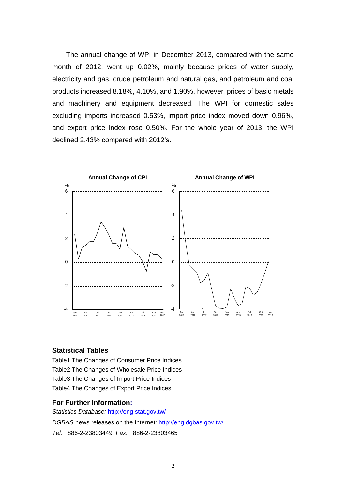The annual change of WPI in December 2013, compared with the same month of 2012, went up 0.02%, mainly because prices of water supply, electricity and gas, crude petroleum and natural gas, and petroleum and coal products increased 8.18%, 4.10%, and 1.90%, however, prices of basic metals and machinery and equipment decreased. The WPI for domestic sales excluding imports increased 0.53%, import price index moved down 0.96%, and export price index rose 0.50%. For the whole year of 2013, the WPI declined 2.43% compared with 2012's.



#### **Statistical Tables**

Table1 The Changes of Consumer Price Indices Table2 The Changes of Wholesale Price Indices Table3 The Changes of Import Price Indices Table4 The Changes of Export Price Indices

#### **For Further Information:**

*Statistics Database:* http://eng.stat.gov.tw/ *DGBAS* news releases on the Internet: http://eng.dgbas.gov.tw/ *Tel:* +886-2-23803449; *Fax:* +886-2-23803465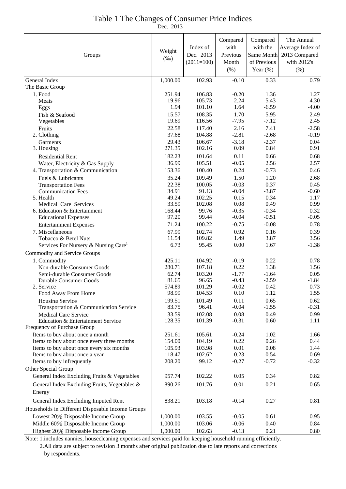### Table 1 The Changes of Consumer Price Indices

Dec. 2013

| Groups                                                           | Weight<br>$(\%0)$ | Index of<br>Dec. 2013<br>$(2011=100)$ | Compared<br>with<br>Previous<br>Month<br>$(\% )$ | Compared<br>with the<br>of Previous<br>Year $(\%)$ | The Annual<br>Average Index of<br>Same Month 2013 Compared<br>with 2012's<br>(% ) |
|------------------------------------------------------------------|-------------------|---------------------------------------|--------------------------------------------------|----------------------------------------------------|-----------------------------------------------------------------------------------|
| General Index                                                    | 1,000.00          | 102.93                                | $-0.10$                                          | 0.33                                               | 0.79                                                                              |
| The Basic Group                                                  |                   |                                       |                                                  |                                                    |                                                                                   |
| 1. Food                                                          | 251.94<br>19.96   | 106.83<br>105.73                      | $-0.20$<br>2.24                                  | 1.36<br>5.43                                       | 1.27<br>4.30                                                                      |
| Meats<br>Eggs                                                    | 1.94              | 101.10                                | 1.64                                             | $-6.59$                                            | $-4.00$                                                                           |
| Fish & Seafood                                                   | 15.57             | 108.35                                | 1.70                                             | 5.95                                               | 2.49                                                                              |
| Vegetables                                                       | 19.69             | 116.56                                | $-7.95$                                          | $-7.12$                                            | 2.45                                                                              |
| Fruits                                                           | 22.58             | 117.40                                | 2.16                                             | 7.41                                               | $-2.58$                                                                           |
| 2. Clothing                                                      | 37.68             | 104.88                                | $-2.81$                                          | $-2.68$                                            | $-0.19$                                                                           |
| Garments                                                         | 29.43             | 106.67                                | $-3.18$                                          | $-2.37$                                            | 0.04                                                                              |
| 3. Housing                                                       | 271.35            | 102.16                                | 0.09                                             | 0.84                                               | 0.91                                                                              |
| <b>Residential Rent</b>                                          | 182.23            | 101.64                                | 0.11                                             | 0.66                                               | 0.68                                                                              |
| Water, Electricity & Gas Supply                                  | 36.99             | 105.51                                | $-0.05$                                          | 2.56                                               | 2.57                                                                              |
| 4. Transportation & Communication                                | 153.36            | 100.40                                | 0.24                                             | $-0.73$                                            | 0.46                                                                              |
| Fuels & Lubricants                                               | 35.24             | 109.49                                | 1.50                                             | 1.20                                               | 2.68                                                                              |
| <b>Transportation Fees</b>                                       | 22.38             | 100.05                                | $-0.03$                                          | 0.37                                               | 0.45                                                                              |
| <b>Communication Fees</b>                                        | 34.91             | 91.13                                 | $-0.04$                                          | $-3.87$                                            | $-0.60$                                                                           |
| 5. Health<br>Medical Care Services                               | 49.24<br>33.59    | 102.25<br>102.08                      | 0.15<br>0.08                                     | 0.34<br>0.49                                       | 1.17<br>0.99                                                                      |
| 6. Education & Entertainment                                     | 168.44            | 99.76                                 | $-0.35$                                          | $-0.34$                                            | 0.32                                                                              |
| <b>Educational Expenses</b>                                      | 97.20             | 99.44                                 | $-0.04$                                          | $-0.51$                                            | $-0.05$                                                                           |
| <b>Entertainment Expenses</b>                                    | 71.24             | 100.22                                | $-0.75$                                          | $-0.08$                                            | 0.78                                                                              |
| 7. Miscellaneous                                                 | 67.99             | 102.74                                | 0.92                                             | 0.16                                               | 0.39                                                                              |
| Tobacco & Betel Nuts                                             | 11.54             | 109.82                                | 1.49                                             | 3.87                                               | 3.56                                                                              |
| Services For Nursery & Nursing Care <sup>1</sup>                 | 6.73              | 95.45                                 | $0.00\,$                                         | 1.67                                               | $-1.38$                                                                           |
| Commodity and Service Groups                                     |                   |                                       |                                                  |                                                    |                                                                                   |
| 1. Commodity                                                     | 425.11            | 104.92                                | $-0.19$                                          | 0.22                                               | 0.78                                                                              |
| Non-durable Consumer Goods                                       | 280.71            | 107.18                                | 0.22                                             | 1.38                                               | 1.56                                                                              |
| Semi-durable Consumer Goods                                      | 62.74             | 103.20                                | $-1.77$                                          | $-1.64$                                            | 0.05                                                                              |
| Durable Consumer Goods                                           | 81.65             | 96.65                                 | $-0.43$                                          | $-2.59$                                            | $-1.84$                                                                           |
| 2. Service                                                       | 574.89            | 101.29                                | $-0.02$<br>0.10                                  | 0.42                                               | 0.73<br>1.55                                                                      |
| Food Away From Home                                              | 98.99             | 104.53                                |                                                  | 1.12                                               |                                                                                   |
| <b>Housing Service</b><br>Transportation & Communication Service | 199.51<br>83.75   | 101.49<br>96.41                       | 0.11<br>$-0.04$                                  | 0.65<br>$-1.55$                                    | 0.62<br>$-0.31$                                                                   |
| <b>Medical Care Service</b>                                      | 33.59             | 102.08                                | 0.08                                             | 0.49                                               | 0.99                                                                              |
| Education & Entertainment Service                                | 128.35            | 101.39                                | $-0.31$                                          | 0.60                                               | 1.11                                                                              |
| Frequency of Purchase Group                                      |                   |                                       |                                                  |                                                    |                                                                                   |
| Items to buy about once a month                                  | 251.61            | 105.61                                | $-0.24$                                          | 1.02                                               | 1.66                                                                              |
| Items to buy about once every three months                       | 154.00            | 104.19                                | 0.22                                             | 0.26                                               | 0.44                                                                              |
| Items to buy about once every six months                         | 105.93            | 103.98                                | 0.01                                             | 0.08                                               | 1.44                                                                              |
| Items to buy about once a year                                   | 118.47            | 102.62                                | $-0.23$                                          | 0.54                                               | 0.69                                                                              |
| Items to buy infrequently                                        | 208.20            | 99.12                                 | $-0.27$                                          | $-0.72$                                            | $-0.32$                                                                           |
| Other Special Group                                              |                   |                                       |                                                  |                                                    |                                                                                   |
| General Index Excluding Fruits & Vegetables                      | 957.74            | 102.22                                | 0.05                                             | 0.34                                               | 0.82                                                                              |
| General Index Excluding Fruits, Vegetables &                     | 890.26            | 101.76                                | $-0.01$                                          | 0.21                                               | 0.65                                                                              |
| Energy                                                           |                   |                                       |                                                  |                                                    |                                                                                   |
| General Index Excluding Imputed Rent                             | 838.21            | 103.18                                | $-0.14$                                          | 0.27                                               | 0.81                                                                              |
| Households in Different Disposable Income Groups                 |                   |                                       |                                                  |                                                    |                                                                                   |
| Lowest 20% Disposable Income Group                               | 1,000.00          | 103.55                                | $-0.05$                                          | 0.61                                               | 0.95                                                                              |
| Middle 60% Disposable Income Group                               | 1,000.00          | 103.06                                | $-0.06$                                          | 0.40                                               | 0.84                                                                              |
| Highest 20% Disposable Income Group                              | 1,000.00          | 102.63                                | $-0.13$                                          | 0.21                                               | 0.80                                                                              |

Note: 1.includes nannies, housecleaning expenses and services paid for keeping household running efficiently. 2.All data are subject to revision 3 months after original publication due to late reports and corrections by respondents.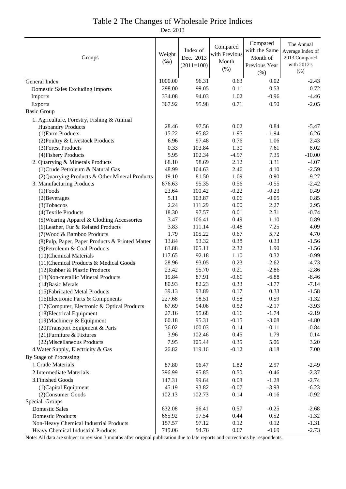### Table 2 The Changes of Wholesale Price Indices

Dec. 2013

| Groups                                           | Weight<br>$(\%0)$ | Index of<br>Dec. 2013<br>$(2011=100)$ | Compared<br>with Previous<br>Month<br>(% ) | Compared<br>with the Same<br>Month of<br>Previous Year<br>(% ) | The Annual<br>Average Index of<br>2013 Compared<br>with 2012's<br>$(\% )$ |
|--------------------------------------------------|-------------------|---------------------------------------|--------------------------------------------|----------------------------------------------------------------|---------------------------------------------------------------------------|
| General Index                                    | 1000.00           | 96.31                                 | 0.63                                       | 0.02                                                           | $-2.43$                                                                   |
| <b>Domestic Sales Excluding Imports</b>          | 298.00            | 99.05                                 | 0.11                                       | 0.53                                                           | $-0.72$                                                                   |
| Imports                                          | 334.08            | 94.03                                 | 1.02                                       | $-0.96$                                                        | $-4.46$                                                                   |
| Exports                                          | 367.92            | 95.98                                 | 0.71                                       | 0.50                                                           | $-2.05$                                                                   |
| <b>Basic Group</b>                               |                   |                                       |                                            |                                                                |                                                                           |
| 1. Agriculture, Forestry, Fishing & Animal       |                   |                                       |                                            |                                                                |                                                                           |
| <b>Husbandry Products</b>                        | 28.46             | 97.56                                 | 0.02                                       | 0.84                                                           | $-5.47$                                                                   |
| (1) Farm Products                                | 15.22             | 95.82                                 | 1.95                                       | $-1.94$                                                        | $-6.26$                                                                   |
| (2) Poultry & Livestock Products                 | 6.96              | 97.48                                 | 0.76                                       | 1.06                                                           | 2.43                                                                      |
| (3) Forest Products                              | 0.33              | 103.84                                | 1.30                                       | 7.61                                                           | 8.02                                                                      |
| (4) Fishery Products                             | 5.95              | 102.34                                | $-4.97$                                    | 7.35                                                           | $-10.00$                                                                  |
| 2. Quarrying & Minerals Products                 | 68.10             | 98.69                                 | 2.12                                       | 3.31                                                           | $-4.07$                                                                   |
| (1) Crude Petroleum & Natural Gas                | 48.99             | 104.63                                | 2.46                                       | 4.10                                                           | $-2.59$                                                                   |
| (2) Quarrying Products & Other Mineral Products  | 19.10             | 81.50                                 | 1.09                                       | 0.90                                                           | $-9.27$                                                                   |
| 3. Manufacturing Products                        | 876.63            | 95.35                                 | 0.56                                       | $-0.55$                                                        | $-2.42$                                                                   |
| $(1)$ Foods                                      | 23.64             | 100.42                                | $-0.22$                                    | $-0.23$                                                        | 0.49                                                                      |
| (2) Beverages                                    | 5.11              | 103.87                                | 0.06                                       | $-0.05$                                                        | 0.85                                                                      |
| (3) Tobaccos                                     | 2.24              | 111.29                                | 0.00                                       | 2.27                                                           | 2.95                                                                      |
| (4) Textile Products                             | 18.30             | 97.57                                 | 0.01                                       | 2.31                                                           | $-0.74$                                                                   |
| (5) Wearing Apparel & Clothing Accessories       | 3.47              | 106.41                                | 0.49                                       | 1.10                                                           | 0.89                                                                      |
| (6) Leather, Fur & Related Products              | 3.83              | 111.14                                | $-0.48$                                    | 7.25                                                           | 4.09                                                                      |
| (7) Wood & Bamboo Products                       | 1.79              | 105.22                                | 0.67                                       | 5.72                                                           | 4.70                                                                      |
| (8) Pulp, Paper, Paper Products & Printed Matter | 13.84             | 93.32                                 | 0.38                                       | 0.33                                                           | $-1.56$                                                                   |
| (9) Petroleum & Coal Products                    | 63.88             | 105.11                                | 2.32                                       | 1.90                                                           | $-1.56$                                                                   |
| (10)Chemical Materials                           | 117.65            | 92.18                                 | 1.10                                       | 0.32                                                           | $-0.99$                                                                   |
| (11) Chemical Products & Medical Goods           | 28.96             | 93.05                                 | 0.23                                       | $-2.62$                                                        | $-4.73$                                                                   |
| (12) Rubber & Plastic Products                   | 23.42             | 95.70                                 | 0.21                                       | $-2.86$                                                        | $-2.86$                                                                   |
| (13) Non-metallic Mineral Products               | 19.84             | 87.91                                 | $-0.60$                                    | $-6.88$                                                        | $-8.46$                                                                   |
| (14) Basic Metals                                | 80.93             | 82.23                                 | 0.33                                       | $-3.77$                                                        | $-7.14$                                                                   |
| (15) Fabricated Metal Products                   | 39.13             | 93.89                                 | 0.17                                       | 0.33                                                           | $-1.58$                                                                   |
| (16) Electronic Parts & Components               | 227.68            | 98.51                                 | 0.58                                       | 0.59                                                           | $-1.32$                                                                   |
| (17) Computer, Electronic & Optical Products     | 67.69             | 94.06                                 | 0.52                                       | $-2.17$                                                        | $-3.93$                                                                   |
| (18) Electrical Equipment                        | 27.16             | 95.68                                 | 0.16                                       | $-1.74$                                                        | $-2.19$                                                                   |
| (19) Machinery & Equipment                       | 60.18             | 95.31                                 | $-0.15$                                    | $-3.08$                                                        | $-4.80$                                                                   |
| (20) Transport Equipment & Parts                 | 36.02             | 100.03                                | 0.14                                       | $-0.11$                                                        | $-0.84$                                                                   |
| (21) Furniture & Fixtures                        | 3.96              | 102.46                                | 0.45                                       | 1.79                                                           | 0.14                                                                      |
| (22) Miscellaneous Products                      | 7.95              | 105.44                                | 0.35                                       | 5.06                                                           | 3.20                                                                      |
| 4. Water Supply, Electricity & Gas               | 26.82             | 119.16                                | $-0.12$                                    | 8.18                                                           | 7.00                                                                      |
| By Stage of Processing                           |                   |                                       |                                            |                                                                |                                                                           |
| 1. Crude Materials                               | 87.80             | 96.47                                 | 1.82                                       | 2.57                                                           | $-2.49$                                                                   |
| 2. Intermediate Materials                        | 396.99            | 95.85                                 | 0.50                                       | $-0.46$                                                        | $-2.37$                                                                   |
| 3. Finished Goods                                | 147.31            | 99.64                                 | 0.08                                       | $-1.28$                                                        | $-2.74$                                                                   |
| (1) Capital Equipment                            | 45.19             | 93.82                                 | $-0.07$                                    | $-3.93$                                                        | $-6.23$                                                                   |
| (2) Consumer Goods                               | 102.13            | 102.73                                | 0.14                                       | $-0.16$                                                        | $-0.92$                                                                   |
| Special Groups                                   |                   |                                       |                                            |                                                                |                                                                           |
| <b>Domestic Sales</b>                            | 632.08            | 96.41                                 | 0.57                                       | $-0.25$                                                        | $-2.68$                                                                   |
| <b>Domestic Products</b>                         | 665.92            | 97.54                                 | 0.44                                       | 0.52                                                           | $-1.32$                                                                   |
| Non-Heavy Chemical Industrial Products           | 157.57            | 97.12                                 | 0.12                                       | 0.12                                                           | $-1.31$                                                                   |
| Heavy Chemical Industrial Products               | 719.06            | 94.76                                 | 0.67                                       | $-0.69$                                                        | $-2.73$                                                                   |

Note: All data are subject to revision 3 months after original publication due to late reports and corrections by respondents.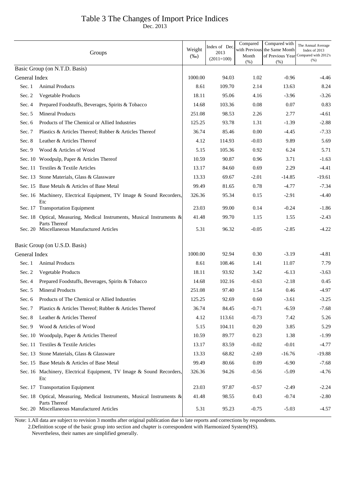## Table 3 The Changes of Import Price Indices

Dec. 2013

|               | Groups                                                                                  | Weight<br>$(\%0)$ | Index of Dec.<br>2013<br>$(2011=100)$ | Compared<br>with Previous<br>Month<br>(% ) | Compared with<br>the Same Month<br>of Previous Year<br>(% ) | The Annual Average<br>Index of 2013<br>Compared with 2012's<br>(% ) |
|---------------|-----------------------------------------------------------------------------------------|-------------------|---------------------------------------|--------------------------------------------|-------------------------------------------------------------|---------------------------------------------------------------------|
|               | Basic Group (on N.T.D. Basis)                                                           |                   |                                       |                                            |                                                             |                                                                     |
| General Index |                                                                                         | 1000.00           | 94.03                                 | 1.02                                       | $-0.96$                                                     | -4.46                                                               |
| Sec. 1        | <b>Animal Products</b>                                                                  | 8.61              | 109.70                                | 2.14                                       | 13.63                                                       | 8.24                                                                |
| Sec. 2        | Vegetable Products                                                                      | 18.11             | 95.06                                 | 4.16                                       | $-3.96$                                                     | $-3.26$                                                             |
| Sec. 4        | Prepared Foodstuffs, Beverages, Spirits & Tobacco                                       | 14.68             | 103.36                                | 0.08                                       | 0.07                                                        | 0.83                                                                |
| Sec. $5$      | <b>Mineral Products</b>                                                                 | 251.08            | 98.53                                 | 2.26                                       | 2.77                                                        | $-4.61$                                                             |
| Sec. 6        | Products of The Chemical or Allied Industries                                           | 125.25            | 93.78                                 | 1.31                                       | $-1.39$                                                     | $-2.88$                                                             |
| Sec. 7        | Plastics & Articles Thereof; Rubber & Articles Thereof                                  | 36.74             | 85.46                                 | 0.00                                       | $-4.45$                                                     | $-7.33$                                                             |
| Sec. 8        | Leather & Articles Thereof                                                              | 4.12              | 114.93                                | $-0.03$                                    | 9.89                                                        | 5.69                                                                |
| Sec. 9        | Wood & Articles of Wood                                                                 | 5.15              | 105.36                                | 0.92                                       | 6.24                                                        | 5.71                                                                |
|               | Sec. 10 Woodpulp, Paper & Articles Thereof                                              | 10.59             | 90.87                                 | 0.96                                       | 3.71                                                        | $-1.63$                                                             |
|               | Sec. 11 Textiles & Textile Articles                                                     | 13.17             | 84.60                                 | 0.69                                       | 2.29                                                        | $-4.41$                                                             |
|               | Sec. 13 Stone Materials, Glass & Glassware                                              | 13.33             | 69.67                                 | $-2.01$                                    | $-14.85$                                                    | $-19.61$                                                            |
|               | Sec. 15 Base Metals & Articles of Base Metal                                            | 99.49             | 81.65                                 | 0.78                                       | $-4.77$                                                     | $-7.34$                                                             |
|               | Sec. 16 Machinery, Electrical Equipment, TV Image & Sound Recorders,<br>Etc             | 326.36            | 95.34                                 | 0.15                                       | $-2.91$                                                     | $-4.40$                                                             |
|               | Sec. 17 Transportation Equipment                                                        | 23.03             | 99.00                                 | 0.14                                       | $-0.24$                                                     | $-1.86$                                                             |
|               | Sec. 18 Optical, Measuring, Medical Instruments, Musical Instruments &<br>Parts Thereof | 41.48             | 99.70                                 | 1.15                                       | 1.55                                                        | $-2.43$                                                             |
|               | Sec. 20 Miscellaneous Manufactured Articles                                             | 5.31              | 96.32                                 | $-0.05$                                    | $-2.85$                                                     | $-4.22$                                                             |
|               | Basic Group (on U.S.D. Basis)                                                           |                   |                                       |                                            |                                                             |                                                                     |
| General Index |                                                                                         | 1000.00           | 92.94                                 | 0.30                                       | $-3.19$                                                     | $-4.81$                                                             |
| Sec. 1        | <b>Animal Products</b>                                                                  | 8.61              | 108.46                                | 1.41                                       | 11.07                                                       | 7.79                                                                |
| Sec. 2        | Vegetable Products                                                                      | 18.11             | 93.92                                 | 3.42                                       | $-6.13$                                                     | $-3.63$                                                             |
| Sec. 4        | Prepared Foodstuffs, Beverages, Spirits & Tobacco                                       | 14.68             | 102.16                                | $-0.63$                                    | $-2.18$                                                     | 0.45                                                                |
| Sec. 5        | <b>Mineral Products</b>                                                                 | 251.08            | 97.40                                 | 1.54                                       | 0.46                                                        | $-4.97$                                                             |
|               | Sec. 6 Products of The Chemical or Allied Industries                                    | 125.25            | 92.69                                 | 0.60                                       | -3.61                                                       | $-3.25$                                                             |
| Sec. 7        | Plastics & Articles Thereof; Rubber & Articles Thereof                                  | 36.74             | 84.45                                 | $-0.71$                                    | $-6.59$                                                     | $-7.68$                                                             |
| Sec. 8        | Leather & Articles Thereof                                                              | 4.12              | 113.61                                | $-0.73$                                    | 7.42                                                        | 5.26                                                                |
| Sec. 9        | Wood & Articles of Wood                                                                 | 5.15              | 104.11                                | 0.20                                       | 3.85                                                        | 5.29                                                                |
|               | Sec. 10 Woodpulp, Paper & Articles Thereof                                              | 10.59             | 89.77                                 | 0.23                                       | 1.38                                                        | $-1.99$                                                             |
|               | Sec. 11 Textiles & Textile Articles                                                     | 13.17             | 83.59                                 | $-0.02$                                    | $-0.01$                                                     | $-4.77$                                                             |
|               | Sec. 13 Stone Materials, Glass & Glassware                                              | 13.33             | 68.82                                 | $-2.69$                                    | $-16.76$                                                    | $-19.88$                                                            |
|               | Sec. 15 Base Metals & Articles of Base Metal                                            | 99.49             | 80.66                                 | 0.09                                       | $-6.90$                                                     | $-7.68$                                                             |
|               | Sec. 16 Machinery, Electrical Equipment, TV Image & Sound Recorders,<br>Etc             | 326.36            | 94.26                                 | $-0.56$                                    | $-5.09$                                                     | $-4.76$                                                             |
|               | Sec. 17 Transportation Equipment                                                        | 23.03             | 97.87                                 | $-0.57$                                    | $-2.49$                                                     | $-2.24$                                                             |
|               | Sec. 18 Optical, Measuring, Medical Instruments, Musical Instruments &<br>Parts Thereof | 41.48             | 98.55                                 | 0.43                                       | $-0.74$                                                     | $-2.80$                                                             |
|               | Sec. 20 Miscellaneous Manufactured Articles                                             | 5.31              | 95.23                                 | $-0.75$                                    | $-5.03$                                                     | $-4.57$                                                             |

Note: 1.All data are subject to revision 3 months after original publication due to late reports and corrections by respondents.

 2.Definition scope of the basic group into section and chapter is correspondent with Harmonized System(HS). Nevertheless, their names are simplified generally.